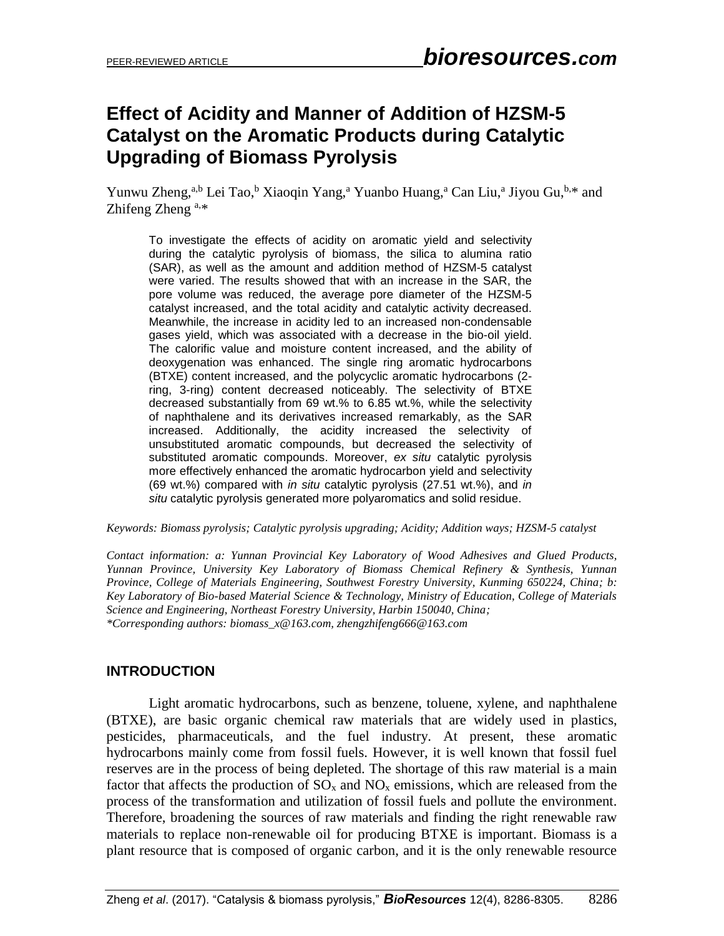# **Effect of Acidity and Manner of Addition of HZSM-5 Catalyst on the Aromatic Products during Catalytic Upgrading of Biomass Pyrolysis**

Yunwu Zheng,<sup>a,b</sup> Lei Tao,<sup>b</sup> Xiaoqin Yang,<sup>a</sup> Yuanbo Huang,<sup>a</sup> Can Liu,<sup>a</sup> Jiyou Gu,<sup>b,\*</sup> and Zhifeng Zheng<sup>a,\*</sup>

To investigate the effects of acidity on aromatic yield and selectivity during the catalytic pyrolysis of biomass, the silica to alumina ratio (SAR), as well as the amount and addition method of HZSM-5 catalyst were varied. The results showed that with an increase in the SAR, the pore volume was reduced, the average pore diameter of the HZSM-5 catalyst increased, and the total acidity and catalytic activity decreased. Meanwhile, the increase in acidity led to an increased non-condensable gases yield, which was associated with a decrease in the bio-oil yield. The calorific value and moisture content increased, and the ability of deoxygenation was enhanced. The single ring aromatic hydrocarbons (BTXE) content increased, and the polycyclic aromatic hydrocarbons (2 ring, 3-ring) content decreased noticeably. The selectivity of BTXE decreased substantially from 69 wt.% to 6.85 wt.%, while the selectivity of naphthalene and its derivatives increased remarkably, as the SAR increased. Additionally, the acidity increased the selectivity of unsubstituted aromatic compounds, but decreased the selectivity of substituted aromatic compounds. Moreover, *ex situ* catalytic pyrolysis more effectively enhanced the aromatic hydrocarbon yield and selectivity (69 wt.%) compared with *in situ* catalytic pyrolysis (27.51 wt.%), and *in situ* catalytic pyrolysis generated more polyaromatics and solid residue.

*Keywords: Biomass pyrolysis; Catalytic pyrolysis upgrading; Acidity; Addition ways; HZSM-5 catalyst*

*Contact information: a: Yunnan Provincial Key Laboratory of Wood Adhesives and Glued Products, Yunnan Province, University Key Laboratory of Biomass Chemical Refinery & Synthesis, Yunnan Province, College of Materials Engineering, Southwest Forestry University, Kunming 650224, China; b: Key Laboratory of Bio-based Material Science & Technology, Ministry of Education, College of Materials Science and Engineering, Northeast Forestry University, Harbin 150040, China; \*Corresponding authors: biomass\_x@163.com, zhengzhifeng666@163.com*

# **INTRODUCTION**

Light aromatic hydrocarbons, such as benzene, toluene, xylene, and naphthalene (BTXE), are basic organic chemical raw materials that are widely used in plastics, pesticides, pharmaceuticals, and the fuel industry. At present, these aromatic hydrocarbons mainly come from fossil fuels. However, it is well known that fossil fuel reserves are in the process of being depleted. The shortage of this raw material is a main factor that affects the production of  $SO_x$  and  $NO_x$  emissions, which are released from the process of the transformation and utilization of fossil fuels and pollute the environment. Therefore, broadening the sources of raw materials and finding the right renewable raw materials to replace non-renewable oil for producing BTXE is important. Biomass is a plant resource that is composed of organic carbon, and it is the only renewable resource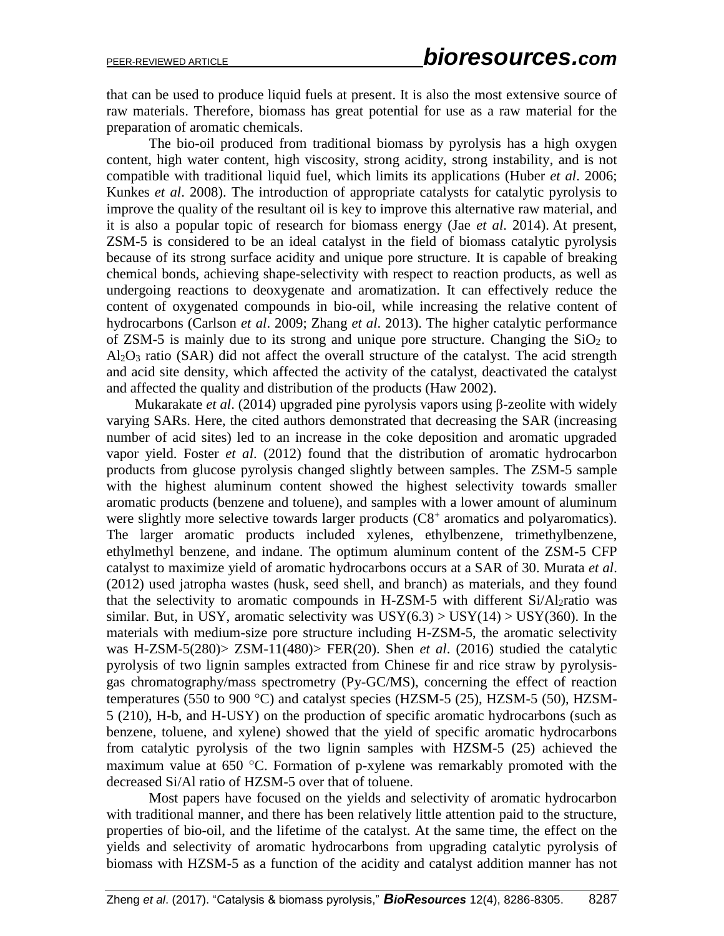that can be used to produce liquid fuels at present. It is also the most extensive source of raw materials. Therefore, biomass has great potential for use as a raw material for the preparation of aromatic chemicals.

The bio-oil produced from traditional biomass by pyrolysis has a high oxygen content, high water content, high viscosity, strong acidity, strong instability, and is not compatible with traditional liquid fuel, which limits its applications (Huber *et al*. 2006; Kunkes *et al*. 2008). The introduction of appropriate catalysts for catalytic pyrolysis to improve the quality of the resultant oil is key to improve this alternative raw material, and it is also a popular topic of research for biomass energy (Jae *et al*. 2014). At present, ZSM-5 is considered to be an ideal catalyst in the field of biomass catalytic pyrolysis because of its strong surface acidity and unique pore structure. It is capable of breaking chemical bonds, achieving shape-selectivity with respect to reaction products, as well as undergoing reactions to deoxygenate and aromatization. It can effectively reduce the content of oxygenated compounds in bio-oil, while increasing the relative content of hydrocarbons (Carlson *et al*. 2009; Zhang *et al*. 2013). The higher catalytic performance of ZSM-5 is mainly due to its strong and unique pore structure. Changing the  $SiO<sub>2</sub>$  to Al2O<sup>3</sup> ratio (SAR) did not affect the overall structure of the catalyst. The acid strength and acid site density, which affected the activity of the catalyst, deactivated the catalyst and affected the quality and distribution of the products (Haw 2002).

Mukarakate *et al*. (2014) upgraded pine pyrolysis vapors using β-zeolite with widely varying SARs. Here, the cited authors demonstrated that decreasing the SAR (increasing number of acid sites) led to an increase in the coke deposition and aromatic upgraded vapor yield. Foster *et al*. (2012) found that the distribution of aromatic hydrocarbon products from glucose pyrolysis changed slightly between samples. The ZSM-5 sample with the highest aluminum content showed the highest selectivity towards smaller aromatic products (benzene and toluene), and samples with a lower amount of aluminum were slightly more selective towards larger products (C8<sup>+</sup> aromatics and polyaromatics). The larger aromatic products included xylenes, ethylbenzene, trimethylbenzene, ethylmethyl benzene, and indane. The optimum aluminum content of the ZSM-5 CFP catalyst to maximize yield of aromatic hydrocarbons occurs at a SAR of 30. Murata *et al*. (2012) used jatropha wastes (husk, seed shell, and branch) as materials, and they found that the selectivity to aromatic compounds in H-ZSM-5 with different Si/Al<sub>2</sub>ratio was similar. But, in USY, aromatic selectivity was  $USY(6.3) > USY(14) > USY(360)$ . In the materials with medium-size pore structure including H-ZSM-5, the aromatic selectivity was H-ZSM-5(280)> ZSM-11(480)> FER(20). Shen *et al*. (2016) studied the catalytic pyrolysis of two lignin samples extracted from Chinese fir and rice straw by pyrolysisgas chromatography/mass spectrometry (Py-GC/MS), concerning the effect of reaction temperatures (550 to 900 °C) and catalyst species (HZSM-5 (25), HZSM-5 (50), HZSM-5 (210), H-b, and H-USY) on the production of specific aromatic hydrocarbons (such as benzene, toluene, and xylene) showed that the yield of specific aromatic hydrocarbons from catalytic pyrolysis of the two lignin samples with HZSM-5 (25) achieved the maximum value at  $650$  °C. Formation of p-xylene was remarkably promoted with the decreased Si/Al ratio of HZSM-5 over that of toluene.

Most papers have focused on the yields and selectivity of aromatic hydrocarbon with traditional manner, and there has been relatively little attention paid to the structure, properties of bio-oil, and the lifetime of the catalyst. At the same time, the effect on the yields and selectivity of aromatic hydrocarbons from upgrading catalytic pyrolysis of biomass with HZSM-5 as a function of the acidity and catalyst addition manner has not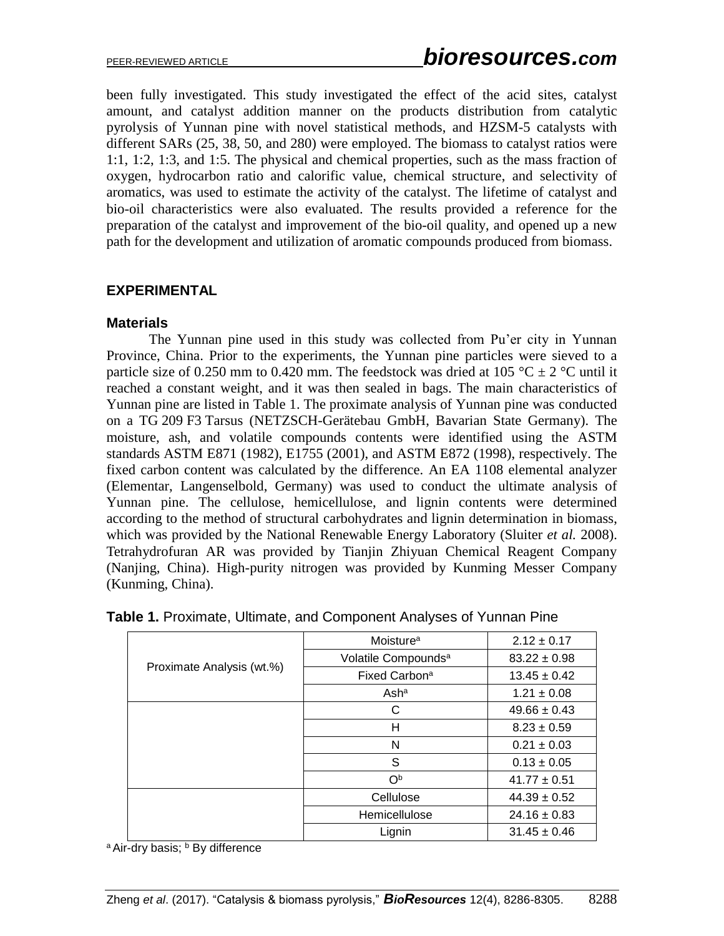been fully investigated. This study investigated the effect of the acid sites, catalyst amount, and catalyst addition manner on the products distribution from catalytic pyrolysis of Yunnan pine with novel statistical methods, and HZSM-5 catalysts with different SARs (25, 38, 50, and 280) were employed. The biomass to catalyst ratios were 1:1, 1:2, 1:3, and 1:5. The physical and chemical properties, such as the mass fraction of oxygen, hydrocarbon ratio and calorific value, chemical structure, and selectivity of aromatics, was used to estimate the activity of the catalyst. The lifetime of catalyst and bio-oil characteristics were also evaluated. The results provided a reference for the preparation of the catalyst and improvement of the bio-oil quality, and opened up a new path for the development and utilization of aromatic compounds produced from biomass.

## **EXPERIMENTAL**

### **Materials**

The Yunnan pine used in this study was collected from Pu'er city in Yunnan Province, China. Prior to the experiments, the Yunnan pine particles were sieved to a particle size of 0.250 mm to 0.420 mm. The feedstock was dried at 105 °C  $\pm$  2 °C until it reached a constant weight, and it was then sealed in bags. The main characteristics of Yunnan pine are listed in Table 1. The proximate analysis of Yunnan pine was conducted on a TG 209 F3 Tarsus (NETZSCH-Gerätebau GmbH, Bavarian State Germany). The moisture, ash, and volatile compounds contents were identified using the ASTM standards ASTM E871 (1982), E1755 (2001), and ASTM E872 (1998), respectively. The fixed carbon content was calculated by the difference. An EA 1108 elemental analyzer (Elementar, Langenselbold, Germany) was used to conduct the ultimate analysis of Yunnan pine. The cellulose, hemicellulose, and lignin contents were determined according to the method of structural carbohydrates and lignin determination in biomass, which was provided by the National Renewable Energy Laboratory (Sluiter *et al.* 2008). Tetrahydrofuran AR was provided by Tianjin Zhiyuan Chemical Reagent Company (Nanjing, China). High-purity nitrogen was provided by Kunming Messer Company (Kunming, China).

| Proximate Analysis (wt.%) | Moisture <sup>a</sup>           | $2.12 \pm 0.17$  |
|---------------------------|---------------------------------|------------------|
|                           | Volatile Compounds <sup>a</sup> | $83.22 \pm 0.98$ |
|                           | Fixed Carbon <sup>a</sup>       | $13.45 \pm 0.42$ |
|                           | Asha                            | $1.21 \pm 0.08$  |
|                           | C                               | $49.66 \pm 0.43$ |
|                           | н                               | $8.23 \pm 0.59$  |
|                           | N                               | $0.21 \pm 0.03$  |
|                           | S                               | $0.13 \pm 0.05$  |
|                           | O <sub>p</sub>                  | $41.77 \pm 0.51$ |
|                           | Cellulose                       | $44.39 \pm 0.52$ |
|                           | Hemicellulose                   | $24.16 \pm 0.83$ |
|                           | Lignin                          | $31.45 \pm 0.46$ |

| Table 1. Proximate, Ultimate, and Component Analyses of Yunnan Pine |  |  |  |  |
|---------------------------------------------------------------------|--|--|--|--|
|                                                                     |  |  |  |  |

a Air-dry basis; **b** By difference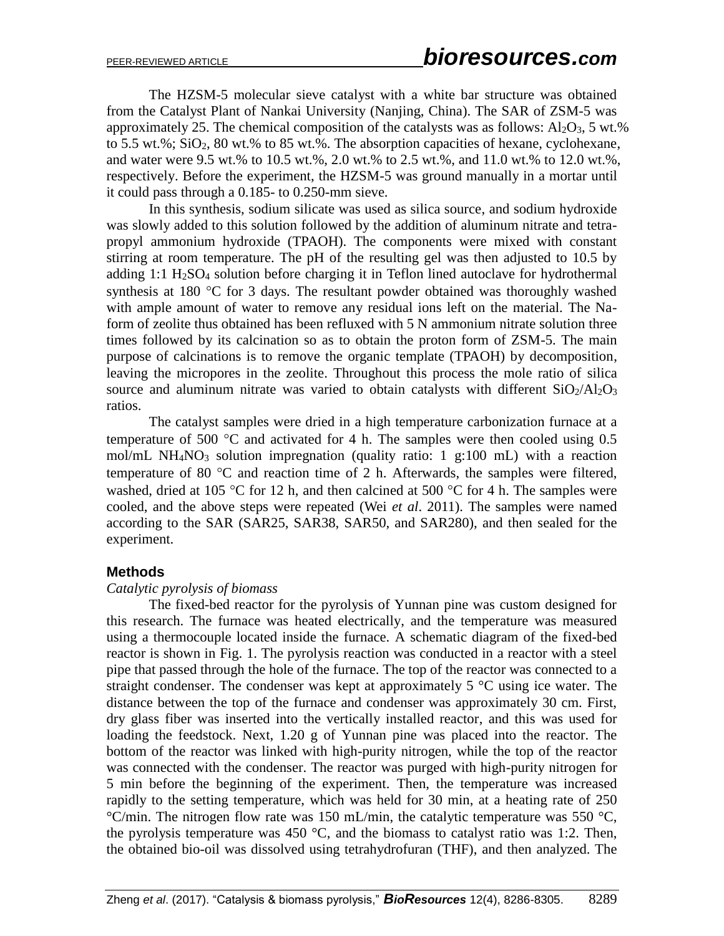The HZSM-5 molecular sieve catalyst with a white bar structure was obtained from the Catalyst Plant of Nankai University (Nanjing, China). The SAR of ZSM-5 was approximately 25. The chemical composition of the catalysts was as follows:  $Al_2O_3$ , 5 wt.% to 5.5 wt.%;  $SiO<sub>2</sub>$ , 80 wt.% to 85 wt.%. The absorption capacities of hexane, cyclohexane, and water were 9.5 wt.% to 10.5 wt.%, 2.0 wt.% to 2.5 wt.%, and 11.0 wt.% to 12.0 wt.%, respectively. Before the experiment, the HZSM-5 was ground manually in a mortar until it could pass through a 0.185- to 0.250-mm sieve.

In this synthesis, sodium silicate was used as silica source, and sodium hydroxide was slowly added to this solution followed by the addition of aluminum nitrate and tetrapropyl ammonium hydroxide (TPAOH). The components were mixed with constant stirring at room temperature. The pH of the resulting gel was then adjusted to 10.5 by adding  $1:1 \text{ H}_2\text{SO}_4$  solution before charging it in Teflon lined autoclave for hydrothermal synthesis at 180  $\degree$ C for 3 days. The resultant powder obtained was thoroughly washed with ample amount of water to remove any residual ions left on the material. The Naform of zeolite thus obtained has been refluxed with 5 N ammonium nitrate solution three times followed by its calcination so as to obtain the proton form of ZSM-5. The main purpose of calcinations is to remove the organic template (TPAOH) by decomposition, leaving the micropores in the zeolite. Throughout this process the mole ratio of silica source and aluminum nitrate was varied to obtain catalysts with different  $SiO<sub>2</sub>/Al<sub>2</sub>O<sub>3</sub>$ ratios.

The catalyst samples were dried in a high temperature carbonization furnace at a temperature of 500  $\degree$ C and activated for 4 h. The samples were then cooled using 0.5 mol/mL NH<sub>4</sub>NO<sub>3</sub> solution impregnation (quality ratio: 1 g:100 mL) with a reaction temperature of 80  $\degree$ C and reaction time of 2 h. Afterwards, the samples were filtered, washed, dried at 105 °C for 12 h, and then calcined at 500 °C for 4 h. The samples were cooled, and the above steps were repeated (Wei *et al*. 2011). The samples were named according to the SAR (SAR25, SAR38, SAR50, and SAR280), and then sealed for the experiment.

### **Methods**

### *Catalytic pyrolysis of biomass*

The fixed-bed reactor for the pyrolysis of Yunnan pine was custom designed for this research. The furnace was heated electrically, and the temperature was measured using a thermocouple located inside the furnace. A schematic diagram of the fixed-bed reactor is shown in Fig. 1. The pyrolysis reaction was conducted in a reactor with a steel pipe that passed through the hole of the furnace. The top of the reactor was connected to a straight condenser. The condenser was kept at approximately  $5^{\circ}$ C using ice water. The distance between the top of the furnace and condenser was approximately 30 cm. First, dry glass fiber was inserted into the vertically installed reactor, and this was used for loading the feedstock. Next, 1.20 g of Yunnan pine was placed into the reactor. The bottom of the reactor was linked with high-purity nitrogen, while the top of the reactor was connected with the condenser. The reactor was purged with high-purity nitrogen for 5 min before the beginning of the experiment. Then, the temperature was increased rapidly to the setting temperature, which was held for 30 min, at a heating rate of 250  $\mathrm{C/min}$ . The nitrogen flow rate was 150 mL/min, the catalytic temperature was 550  $\mathrm{C}$ , the pyrolysis temperature was 450  $^{\circ}$ C, and the biomass to catalyst ratio was 1:2. Then, the obtained bio-oil was dissolved using tetrahydrofuran (THF), and then analyzed. The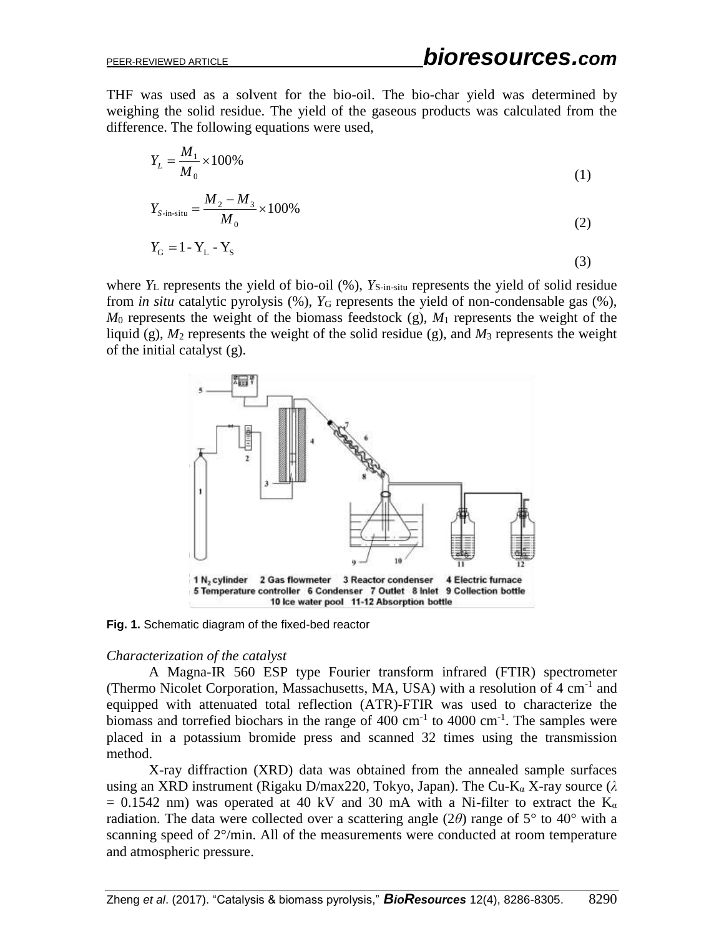THF was used as a solvent for the bio-oil. The bio-char yield was determined by weighing the solid residue. The yield of the gaseous products was calculated from the difference. The following equations were used,

$$
Y_L = \frac{M_1}{M_0} \times 100\% \tag{1}
$$

$$
Y_{S\text{-in-situ}} = \frac{M_2 - M_3}{M_0} \times 100\%
$$
 (2)

$$
Y_{\rm G} = 1 - Y_{\rm L} - Y_{\rm S} \tag{3}
$$

where  $Y_L$  represents the yield of bio-oil  $(\%)$ ,  $Y_{S-in-situ}$  represents the yield of solid residue from *in situ* catalytic pyrolysis  $(\%)$ ,  $Y_G$  represents the yield of non-condensable gas  $(\%)$ , *M*<sup>0</sup> represents the weight of the biomass feedstock (g), *M*<sup>1</sup> represents the weight of the liquid (g),  $M_2$  represents the weight of the solid residue (g), and  $M_3$  represents the weight of the initial catalyst (g).



**Fig. 1.** Schematic diagram of the fixed-bed reactor

#### *Characterization of the catalyst*

A Magna-IR 560 ESP type Fourier transform infrared (FTIR) spectrometer (Thermo Nicolet Corporation, Massachusetts, MA, USA) with a resolution of 4 cm<sup>-1</sup> and equipped with attenuated total reflection (ATR)-FTIR was used to characterize the biomass and torrefied biochars in the range of  $400 \text{ cm}^{-1}$  to  $4000 \text{ cm}^{-1}$ . The samples were placed in a potassium bromide press and scanned 32 times using the transmission method.

X-ray diffraction (XRD) data was obtained from the annealed sample surfaces using an XRD instrument (Rigaku D/max220, Tokyo, Japan). The Cu-K<sup>α</sup> X-ray source (*λ*  $= 0.1542$  nm) was operated at 40 kV and 30 mA with a Ni-filter to extract the K<sub>α</sub> radiation. The data were collected over a scattering angle (2 $\theta$ ) range of 5<sup>°</sup> to 40<sup>°</sup> with a scanning speed of 2°/min. All of the measurements were conducted at room temperature and atmospheric pressure.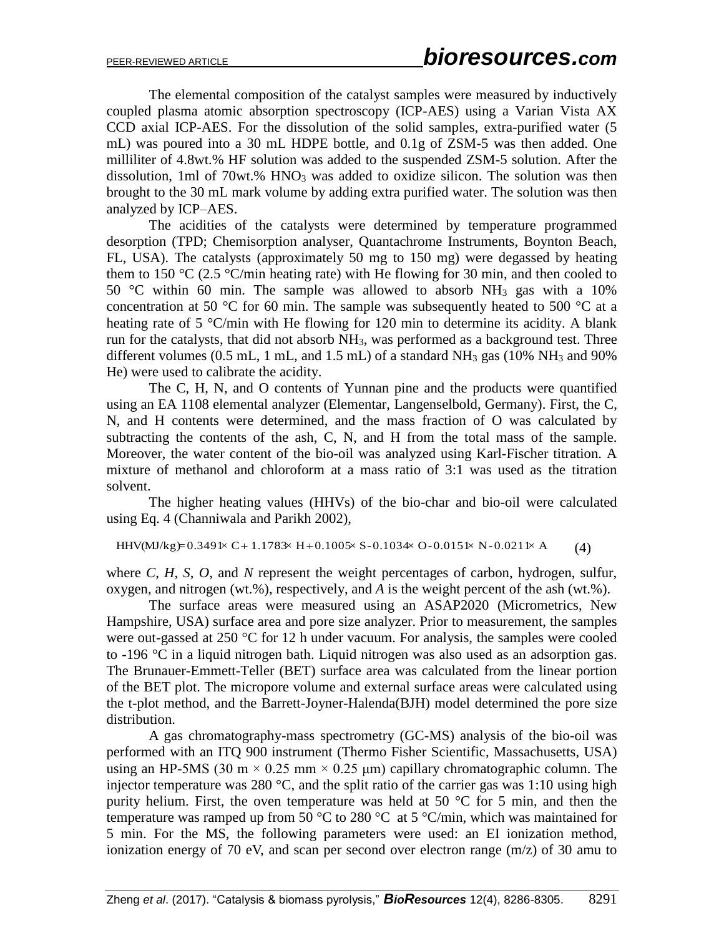The elemental composition of the catalyst samples were measured by inductively coupled plasma atomic absorption spectroscopy (ICP-AES) using a Varian Vista AX CCD axial ICP-AES. For the dissolution of the solid samples, extra-purified water (5 mL) was poured into a 30 mL HDPE bottle, and 0.1g of ZSM-5 was then added. One milliliter of 4.8wt.% HF solution was added to the suspended ZSM-5 solution. After the dissolution, 1ml of 70wt.%  $HNO<sub>3</sub>$  was added to oxidize silicon. The solution was then brought to the 30 mL mark volume by adding extra purified water. The solution was then analyzed by ICP–AES.

The acidities of the catalysts were determined by temperature programmed desorption (TPD; Chemisorption analyser, Quantachrome Instruments, Boynton Beach, FL, USA). The catalysts (approximately 50 mg to 150 mg) were degassed by heating them to 150 °C (2.5 °C/min heating rate) with He flowing for 30 min, and then cooled to 50 °C within 60 min. The sample was allowed to absorb  $NH_3$  gas with a 10% concentration at 50  $\degree$ C for 60 min. The sample was subsequently heated to 500  $\degree$ C at a heating rate of 5 °C/min with He flowing for 120 min to determine its acidity. A blank run for the catalysts, that did not absorb  $NH<sub>3</sub>$ , was performed as a background test. Three different volumes  $(0.5 \text{ mL}, 1 \text{ mL}, \text{and } 1.5 \text{ mL})$  of a standard NH<sub>3</sub> gas  $(10\% \text{ NH}_3 \text{ and } 90\%$ He) were used to calibrate the acidity.

The C, H, N, and O contents of Yunnan pine and the products were quantified using an EA 1108 elemental analyzer (Elementar, Langenselbold, Germany). First, the C, N, and H contents were determined, and the mass fraction of O was calculated by subtracting the contents of the ash, C, N, and H from the total mass of the sample. Moreover, the water content of the bio-oil was analyzed using Karl-Fischer titration. A mixture of methanol and chloroform at a mass ratio of 3:1 was used as the titration solvent.

The higher heating values (HHVs) of the bio-char and bio-oil were calculated using Eq. 4 (Channiwala and Parikh 2002),

HHV(MJ/kg)=0.3491× C + 1.1783× H + 0.1005× S-0.1034× O-0.0151× N-0.0211× A (4)

where *C*, *H*, *S*, *O*, and *N* represent the weight percentages of carbon, hydrogen, sulfur, oxygen, and nitrogen (wt.%), respectively, and *A* is the weight percent of the ash (wt.%).

The surface areas were measured using an ASAP2020 (Micrometrics, New Hampshire, USA) surface area and pore size analyzer. Prior to measurement, the samples were out-gassed at 250 °C for 12 h under vacuum. For analysis, the samples were cooled to -196 °C in a liquid nitrogen bath. Liquid nitrogen was also used as an adsorption gas. The Brunauer-Emmett-Teller (BET) surface area was calculated from the linear portion of the BET plot. The micropore volume and external surface areas were calculated using the t-plot method, and the Barrett-Joyner-Halenda(BJH) model determined the pore size distribution.

A gas chromatography-mass spectrometry (GC-MS) analysis of the bio-oil was performed with an ITQ 900 instrument (Thermo Fisher Scientific, Massachusetts, USA) using an HP-5MS (30 m  $\times$  0.25 mm  $\times$  0.25 µm) capillary chromatographic column. The injector temperature was 280  $^{\circ}$ C, and the split ratio of the carrier gas was 1:10 using high purity helium. First, the oven temperature was held at 50 °C for 5 min, and then the temperature was ramped up from 50 °C to 280 °C at 5 °C/min, which was maintained for 5 min. For the MS, the following parameters were used: an EI ionization method, ionization energy of 70 eV, and scan per second over electron range (m/z) of 30 amu to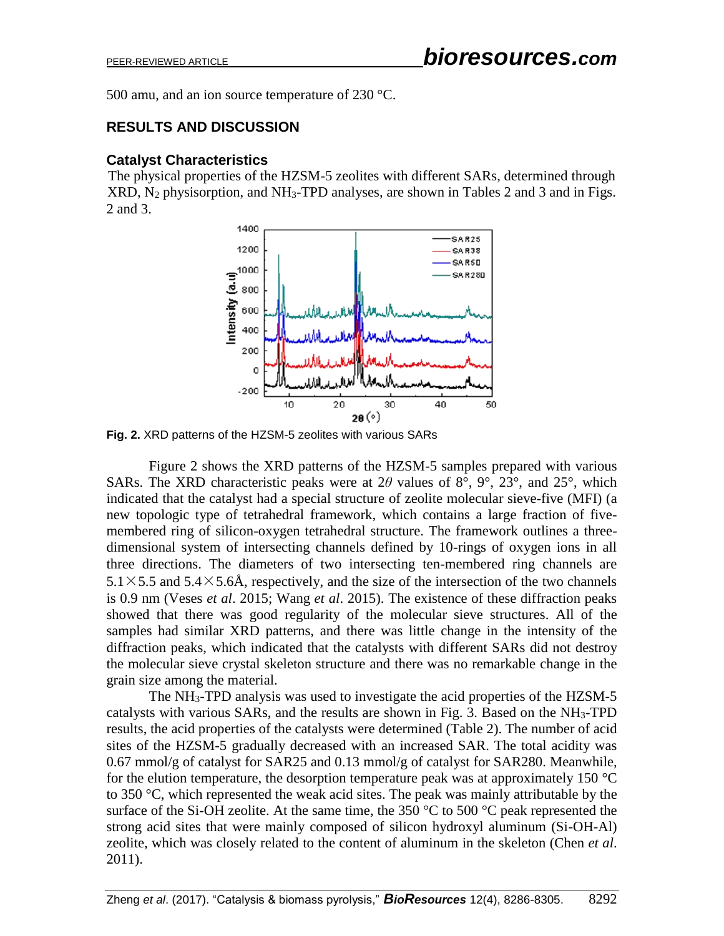500 amu, and an ion source temperature of 230 °C.

# **RESULTS AND DISCUSSION**

## **Catalyst Characteristics**

The physical properties of the HZSM-5 zeolites with different SARs, determined through XRD, N<sup>2</sup> physisorption, and NH3-TPD analyses, are shown in Tables 2 and 3 and in Figs. 2 and 3.



**Fig. 2.** XRD patterns of the HZSM-5 zeolites with various SARs

Figure 2 shows the XRD patterns of the HZSM-5 samples prepared with various SARs. The XRD characteristic peaks were at 2 $\theta$  values of  $8^\circ$ ,  $9^\circ$ ,  $23^\circ$ , and  $25^\circ$ , which indicated that the catalyst had a special structure of zeolite molecular sieve-five (MFI) (a new topologic type of tetrahedral framework, which contains a large fraction of fivemembered ring of silicon-oxygen tetrahedral structure. The framework outlines a threedimensional system of intersecting channels defined by 10-rings of oxygen ions in all three directions. The diameters of two intersecting ten-membered ring channels are  $5.1 \times 5.5$  and  $5.4 \times 5.6$ Å, respectively, and the size of the intersection of the two channels is 0.9 nm (Veses *et al*. 2015; Wang *et al*. 2015). The existence of these diffraction peaks showed that there was good regularity of the molecular sieve structures. All of the samples had similar XRD patterns, and there was little change in the intensity of the diffraction peaks, which indicated that the catalysts with different SARs did not destroy the molecular sieve crystal skeleton structure and there was no remarkable change in the grain size among the material.

The NH3-TPD analysis was used to investigate the acid properties of the HZSM-5 catalysts with various SARs, and the results are shown in Fig. 3. Based on the NH3-TPD results, the acid properties of the catalysts were determined (Table 2). The number of acid sites of the HZSM-5 gradually decreased with an increased SAR. The total acidity was 0.67 mmol/g of catalyst for SAR25 and 0.13 mmol/g of catalyst for SAR280. Meanwhile, for the elution temperature, the desorption temperature peak was at approximately 150  $^{\circ}$ C to 350 °C, which represented the weak acid sites. The peak was mainly attributable by the surface of the Si-OH zeolite. At the same time, the 350  $\degree$ C to 500  $\degree$ C peak represented the strong acid sites that were mainly composed of silicon hydroxyl aluminum (Si-OH-Al) zeolite, which was closely related to the content of aluminum in the skeleton (Chen *et al*. 2011).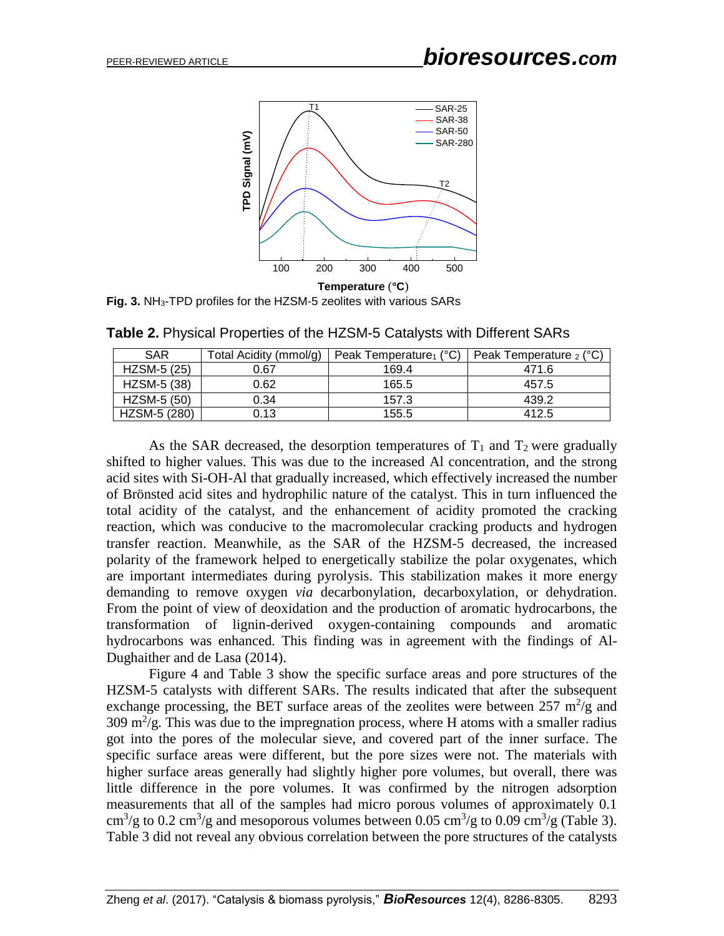

**Fig. 3.** NH3-TPD profiles for the HZSM-5 zeolites with various SARs

| <b>SAR</b>   | Total Acidity (mmol/g) | Peak Temperature $(°C)$ | Peak Temperature $_2$ ( $^{\circ}$ C) |
|--------------|------------------------|-------------------------|---------------------------------------|
| HZSM-5 (25)  | 0.67                   | 169.4                   | 471.6                                 |
| HZSM-5 (38)  | 0.62                   | 165.5                   | 457.5                                 |
| HZSM-5 (50)  | 0.34                   | 157.3                   | 439.2                                 |
| HZSM-5 (280) | 0.13                   | 155.5                   | 412.5                                 |

**Table 2.** Physical Properties of the HZSM-5 Catalysts with Different SARs

As the SAR decreased, the desorption temperatures of  $T_1$  and  $T_2$  were gradually shifted to higher values. This was due to the increased Al concentration, and the strong acid sites with Si-OH-Al that gradually increased, which effectively increased the number of Brönsted acid sites and hydrophilic nature of the catalyst. This in turn influenced the total acidity of the catalyst, and the enhancement of acidity promoted the cracking reaction, which was conducive to the macromolecular cracking products and hydrogen transfer reaction. Meanwhile, as the SAR of the HZSM-5 decreased, the increased polarity of the framework helped to energetically stabilize the polar oxygenates, which are important intermediates during pyrolysis. This stabilization makes it more energy demanding to remove oxygen *via* decarbonylation, decarboxylation, or dehydration. From the point of view of deoxidation and the production of aromatic hydrocarbons, the transformation of lignin-derived oxygen-containing compounds and aromatic hydrocarbons was enhanced. This finding was in agreement with the findings of Al-Dughaither and de Lasa (2014).

Figure 4 and Table 3 show the specific surface areas and pore structures of the HZSM-5 catalysts with different SARs. The results indicated that after the subsequent exchange processing, the BET surface areas of the zeolites were between  $257 \text{ m}^2/\text{g}$  and  $309 \text{ m}^2/\text{g}$ . This was due to the impregnation process, where H atoms with a smaller radius got into the pores of the molecular sieve, and covered part of the inner surface. The specific surface areas were different, but the pore sizes were not. The materials with higher surface areas generally had slightly higher pore volumes, but overall, there was little difference in the pore volumes. It was confirmed by the nitrogen adsorption measurements that all of the samples had micro porous volumes of approximately 0.1 cm<sup>3</sup>/g to 0.2 cm<sup>3</sup>/g and mesoporous volumes between 0.05 cm<sup>3</sup>/g to 0.09 cm<sup>3</sup>/g (Table 3). Table 3 did not reveal any obvious correlation between the pore structures of the catalysts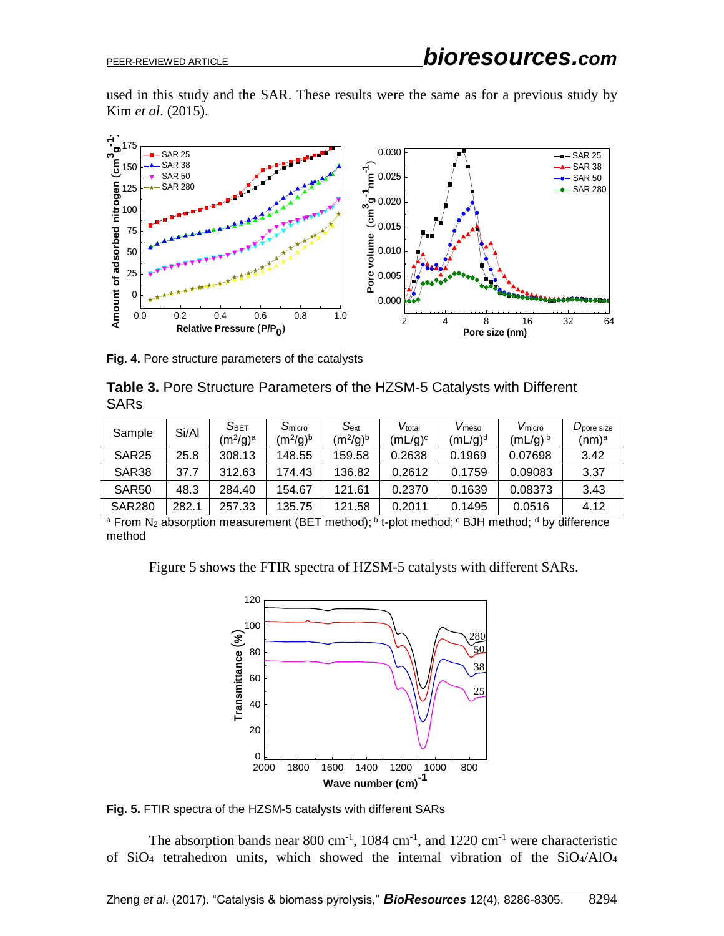used in this study and the SAR. These results were the same as for a previous study by Kim *et al*. (2015).



**Fig. 4.** Pore structure parameters of the catalysts

| Table 3. Pore Structure Parameters of the HZSM-5 Catalysts with Different |  |
|---------------------------------------------------------------------------|--|
| <b>SARs</b>                                                               |  |

| Sample            | Si/Al | $\mathsf{S}_{\mathsf{BET}}$<br>$(m^2/q)^a$ | S <sub>micro</sub><br>$(m^2/q)^b$ | $S_{\text{ext}}$<br>$(m^2/q)^b$ | Vtotal<br>(mL/g) <sup>c</sup> | V <sub>meso</sub><br>$(mL/q)^d$ | V <sub>micro</sub><br>$(mL/g)^b$ | D <sub>pore</sub> size<br>(nm)ª |
|-------------------|-------|--------------------------------------------|-----------------------------------|---------------------------------|-------------------------------|---------------------------------|----------------------------------|---------------------------------|
| SAR <sub>25</sub> | 25.8  | 308.13                                     | 148.55                            | 159.58                          | 0.2638                        | 0.1969                          | 0.07698                          | 3.42                            |
| SAR <sub>38</sub> | 37.7  | 312.63                                     | 174.43                            | 136.82                          | 0.2612                        | 0.1759                          | 0.09083                          | 3.37                            |
| SAR <sub>50</sub> | 48.3  | 284.40                                     | 154.67                            | 121.61                          | 0.2370                        | 0.1639                          | 0.08373                          | 3.43                            |
| <b>SAR280</b>     | 282.1 | 257.33                                     | 135.75                            | 121.58                          | 0.2011                        | 0.1495                          | 0.0516                           | 4.12                            |

 $^{\text{a}}$  From N $_2$  absorption measurement (BET method);  $^{\text{b}}$  t-plot method;  $^{\text{c}}$  BJH method;  $^{\text{d}}$  by difference method

Figure 5 shows the FTIR spectra of HZSM-5 catalysts with different SARs.



**Fig. 5.** FTIR spectra of the HZSM-5 catalysts with different SARs

The absorption bands near 800 cm<sup>-1</sup>, 1084 cm<sup>-1</sup>, and 1220 cm<sup>-1</sup> were characteristic of SiO<sup>4</sup> tetrahedron units, which showed the internal vibration of the SiO4/AlO<sup>4</sup>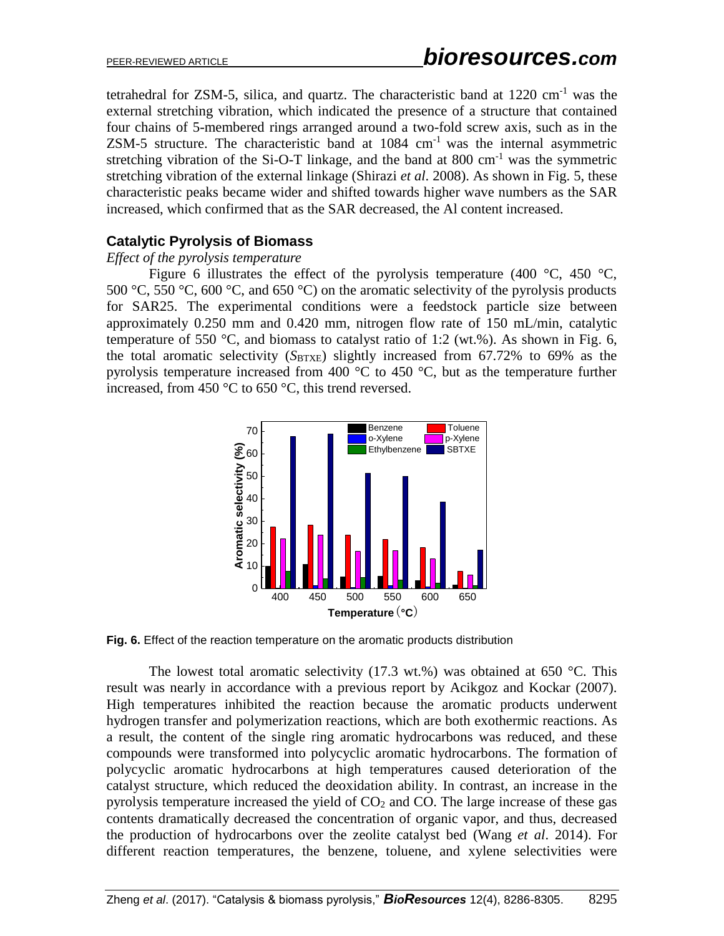tetrahedral for ZSM-5, silica, and quartz. The characteristic band at  $1220 \text{ cm}^{-1}$  was the external stretching vibration, which indicated the presence of a structure that contained four chains of 5-membered rings arranged around a two-fold screw axis, such as in the  $ZSM-5$  structure. The characteristic band at  $1084 \text{ cm}^{-1}$  was the internal asymmetric stretching vibration of the Si-O-T linkage, and the band at  $800 \text{ cm}^{-1}$  was the symmetric stretching vibration of the external linkage (Shirazi *et al*. 2008). As shown in Fig. 5, these characteristic peaks became wider and shifted towards higher wave numbers as the SAR increased, which confirmed that as the SAR decreased, the Al content increased.

# **Catalytic Pyrolysis of Biomass**

### *Effect of the pyrolysis temperature*

Figure 6 illustrates the effect of the pyrolysis temperature (400  $\degree$ C, 450  $\degree$ C, 500 °C, 550 °C, 600 °C, and 650 °C) on the aromatic selectivity of the pyrolysis products for SAR25. The experimental conditions were a feedstock particle size between approximately 0.250 mm and 0.420 mm, nitrogen flow rate of 150 mL/min, catalytic temperature of 550 °C, and biomass to catalyst ratio of 1:2 (wt.%). As shown in Fig. 6, the total aromatic selectivity (*S*<sub>BTXE</sub>) slightly increased from 67.72% to 69% as the pyrolysis temperature increased from 400  $^{\circ}$ C to 450  $^{\circ}$ C, but as the temperature further increased, from 450 °C to 650 °C, this trend reversed.



**Fig. 6.** Effect of the reaction temperature on the aromatic products distribution

The lowest total aromatic selectivity  $(17.3 \text{ wt.})$  was obtained at 650 °C. This result was nearly in accordance with a previous report by Acikgoz and Kockar (2007). High temperatures inhibited the reaction because the aromatic products underwent hydrogen transfer and polymerization reactions, which are both exothermic reactions. As a result, the content of the single ring aromatic hydrocarbons was reduced, and these compounds were transformed into polycyclic aromatic hydrocarbons. The formation of polycyclic aromatic hydrocarbons at high temperatures caused deterioration of the catalyst structure, which reduced the deoxidation ability. In contrast, an increase in the pyrolysis temperature increased the yield of  $CO<sub>2</sub>$  and  $CO<sub>1</sub>$ . The large increase of these gas contents dramatically decreased the concentration of organic vapor, and thus, decreased the production of hydrocarbons over the zeolite catalyst bed (Wang *et al*. 2014). For different reaction temperatures, the benzene, toluene, and xylene selectivities were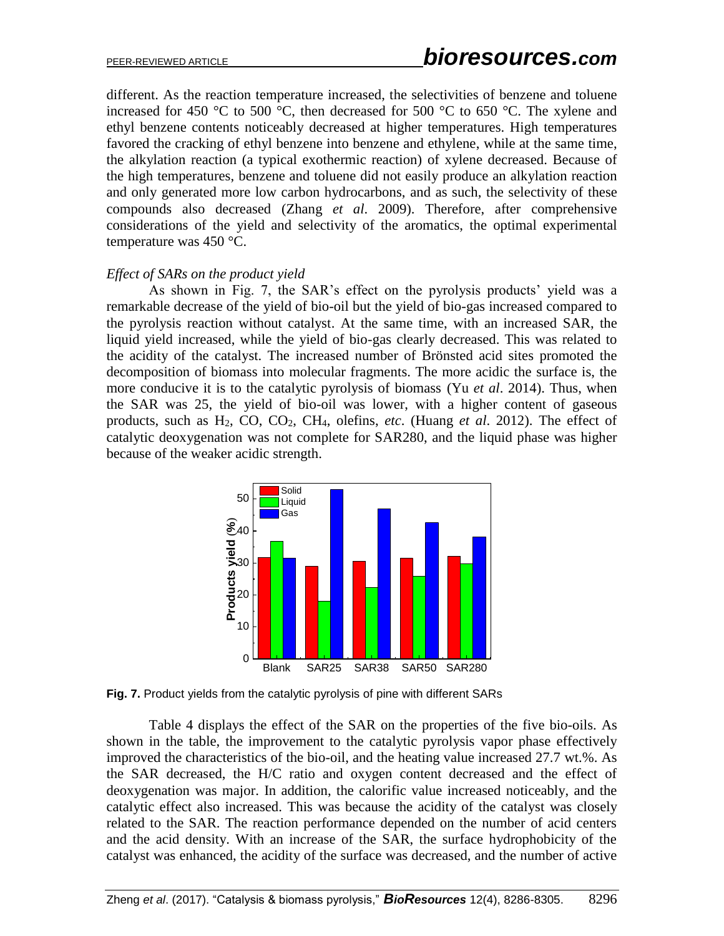different. As the reaction temperature increased, the selectivities of benzene and toluene increased for 450 °C to 500 °C, then decreased for 500 °C to 650 °C. The xylene and ethyl benzene contents noticeably decreased at higher temperatures. High temperatures favored the cracking of ethyl benzene into benzene and ethylene, while at the same time, the alkylation reaction (a typical exothermic reaction) of xylene decreased. Because of the high temperatures, benzene and toluene did not easily produce an alkylation reaction and only generated more low carbon hydrocarbons, and as such, the selectivity of these compounds also decreased (Zhang *et al*. 2009). Therefore, after comprehensive considerations of the yield and selectivity of the aromatics, the optimal experimental temperature was 450 °C.

#### *Effect of SARs on the product yield*

As shown in Fig. 7, the SAR's effect on the pyrolysis products' yield was a remarkable decrease of the yield of bio-oil but the yield of bio-gas increased compared to the pyrolysis reaction without catalyst. At the same time, with an increased SAR, the liquid yield increased, while the yield of bio-gas clearly decreased. This was related to the acidity of the catalyst. The increased number of Brönsted acid sites promoted the decomposition of biomass into molecular fragments. The more acidic the surface is, the more conducive it is to the catalytic pyrolysis of biomass (Yu *et al*. 2014). Thus, when the SAR was 25, the yield of bio-oil was lower, with a higher content of gaseous products, such as H2, CO, CO2, CH4, olefins, *etc*. (Huang *et al*. 2012). The effect of catalytic deoxygenation was not complete for SAR280, and the liquid phase was higher because of the weaker acidic strength.



**Fig. 7.** Product yields from the catalytic pyrolysis of pine with different SARs

Table 4 displays the effect of the SAR on the properties of the five bio-oils. As shown in the table, the improvement to the catalytic pyrolysis vapor phase effectively improved the characteristics of the bio-oil, and the heating value increased 27.7 wt.%. As the SAR decreased, the H/C ratio and oxygen content decreased and the effect of deoxygenation was major. In addition, the calorific value increased noticeably, and the catalytic effect also increased. This was because the acidity of the catalyst was closely related to the SAR. The reaction performance depended on the number of acid centers and the acid density. With an increase of the SAR, the surface hydrophobicity of the catalyst was enhanced, the acidity of the surface was decreased, and the number of active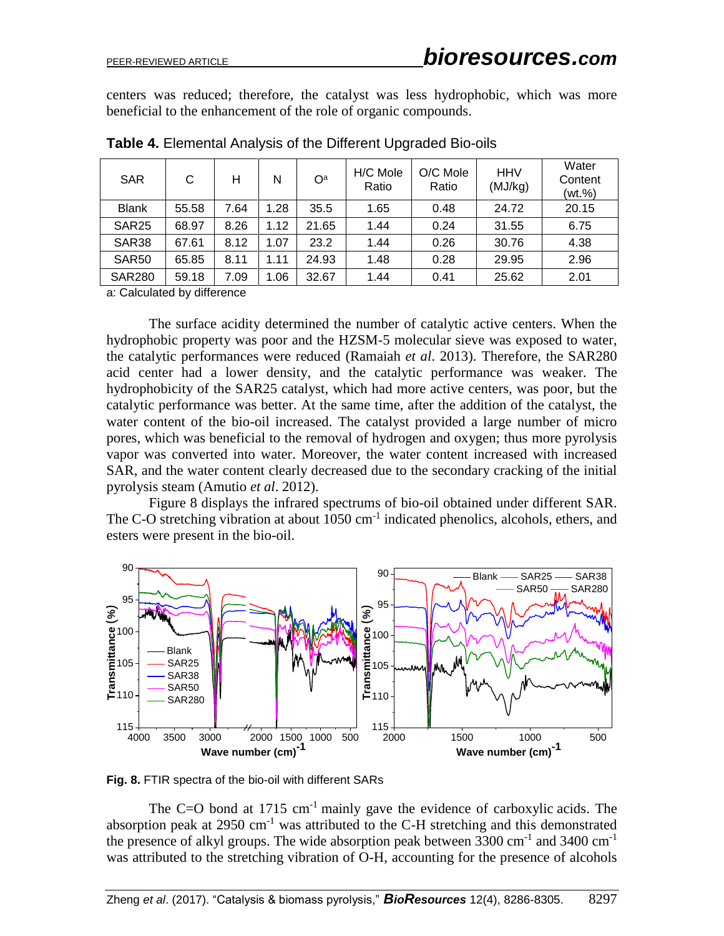centers was reduced; therefore, the catalyst was less hydrophobic, which was more beneficial to the enhancement of the role of organic compounds.

| <b>SAR</b>        | С     | н    | N    | O <sup>a</sup> | H/C Mole<br>Ratio | O/C Mole<br>Ratio | <b>HHV</b><br>(MJ/kg) | Water<br>Content<br>(wt.%) |
|-------------------|-------|------|------|----------------|-------------------|-------------------|-----------------------|----------------------------|
| <b>Blank</b>      | 55.58 | 7.64 | 1.28 | 35.5           | 1.65              | 0.48              | 24.72                 | 20.15                      |
| SAR <sub>25</sub> | 68.97 | 8.26 | 1.12 | 21.65          | 1.44              | 0.24              | 31.55                 | 6.75                       |
| <b>SAR38</b>      | 67.61 | 8.12 | 1.07 | 23.2           | 1.44              | 0.26              | 30.76                 | 4.38                       |
| SAR <sub>50</sub> | 65.85 | 8.11 | 1.11 | 24.93          | 1.48              | 0.28              | 29.95                 | 2.96                       |
| <b>SAR280</b>     | 59.18 | 7.09 | 1.06 | 32.67          | 1.44              | 0.41              | 25.62                 | 2.01                       |

**Table 4.** Elemental Analysis of the Different Upgraded Bio-oils

a: Calculated by difference

The surface acidity determined the number of catalytic active centers. When the hydrophobic property was poor and the HZSM-5 molecular sieve was exposed to water, the catalytic performances were reduced (Ramaiah *et al*. 2013). Therefore, the SAR280 acid center had a lower density, and the catalytic performance was weaker. The hydrophobicity of the SAR25 catalyst, which had more active centers, was poor, but the catalytic performance was better. At the same time, after the addition of the catalyst, the water content of the bio-oil increased. The catalyst provided a large number of micro pores, which was beneficial to the removal of hydrogen and oxygen; thus more pyrolysis vapor was converted into water. Moreover, the water content increased with increased SAR, and the water content clearly decreased due to the secondary cracking of the initial pyrolysis steam (Amutio *et al*. 2012).

Figure 8 displays the infrared spectrums of bio-oil obtained under different SAR. The C-O stretching vibration at about  $1050 \text{ cm}^{-1}$  indicated phenolics, alcohols, ethers, and esters were present in the bio-oil.



**Fig. 8.** FTIR spectra of the bio-oil with different SARs

The  $C=O$  bond at 1715 cm<sup>-1</sup> mainly gave the evidence of [carboxylic](javascript:void(0);) [acids](javascript:void(0);). The [absorption](javascript:void(0);) [peak](javascript:void(0);) at  $2950 \text{ cm}^{-1}$  was attributed to the C-H stretching and this demonstrated the presence of alkyl groups. The wide [absorption](javascript:void(0);) [peak](javascript:void(0);) between  $3300 \text{ cm}^{-1}$  and  $3400 \text{ cm}^{-1}$ was attributed to the stretching vibration of O-H, accounting for the presence of alcohols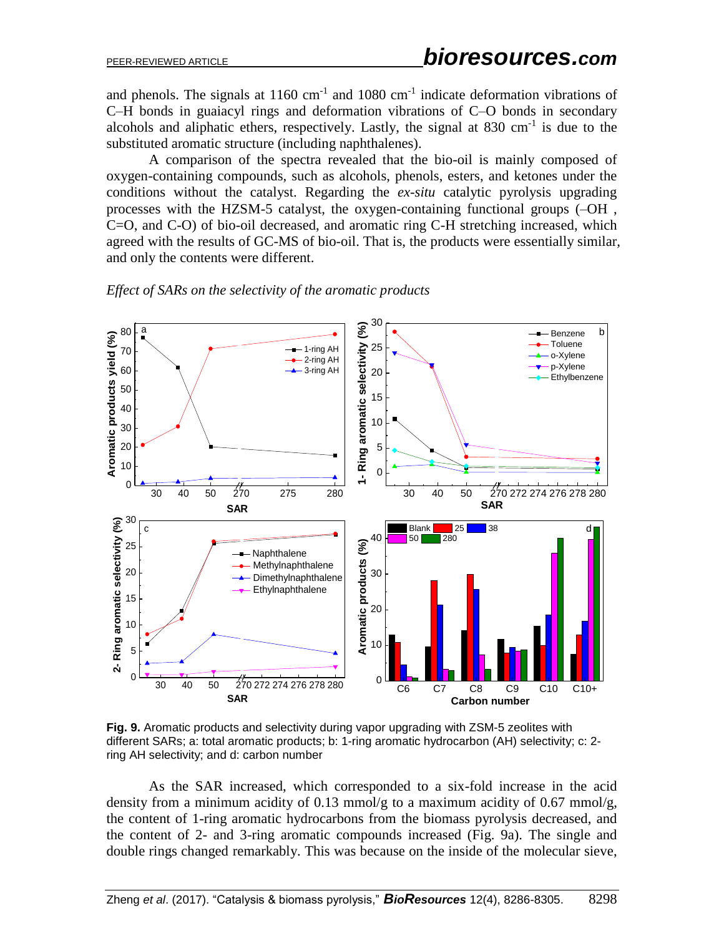and phenols. The signals at  $1160 \text{ cm}^{-1}$  and  $1080 \text{ cm}^{-1}$  indicate deformation vibrations of C–H bonds in guaiacyl rings and deformation vibrations of C–O bonds in secondary alcohols and aliphatic ethers, respectively. Lastly, the signal at  $830 \text{ cm}^{-1}$  is due to the substituted aromatic structure (including naphthalenes).

A comparison of the spectra revealed that the bio-oil is mainly composed of oxygen-containing compounds, such as alcohols, phenols, esters, and ketones under the conditions without the catalyst. Regarding the *ex-situ* catalytic pyrolysis upgrading processes with the HZSM-5 catalyst, the oxygen-containing functional groups (–OH , C=O, and C-O) of bio-oil decreased, and aromatic ring C-H stretching increased, which agreed with the results of GC-MS of bio-oil. That is, the products were essentially similar, and only the contents were different.



*Effect of SARs on the selectivity of the aromatic products*

**Fig. 9.** Aromatic products and selectivity during vapor upgrading with ZSM-5 zeolites with different SARs; a: total aromatic products; b: 1-ring aromatic hydrocarbon (AH) selectivity; c: 2 ring AH selectivity; and d: carbon number

As the SAR increased, which corresponded to a six-fold increase in the acid density from a minimum acidity of 0.13 mmol/g to a maximum acidity of 0.67 mmol/g, the content of 1-ring aromatic hydrocarbons from the biomass pyrolysis decreased, and the content of 2- and 3-ring aromatic compounds increased (Fig. 9a). The single and double rings changed remarkably. This was because on the inside of the molecular sieve,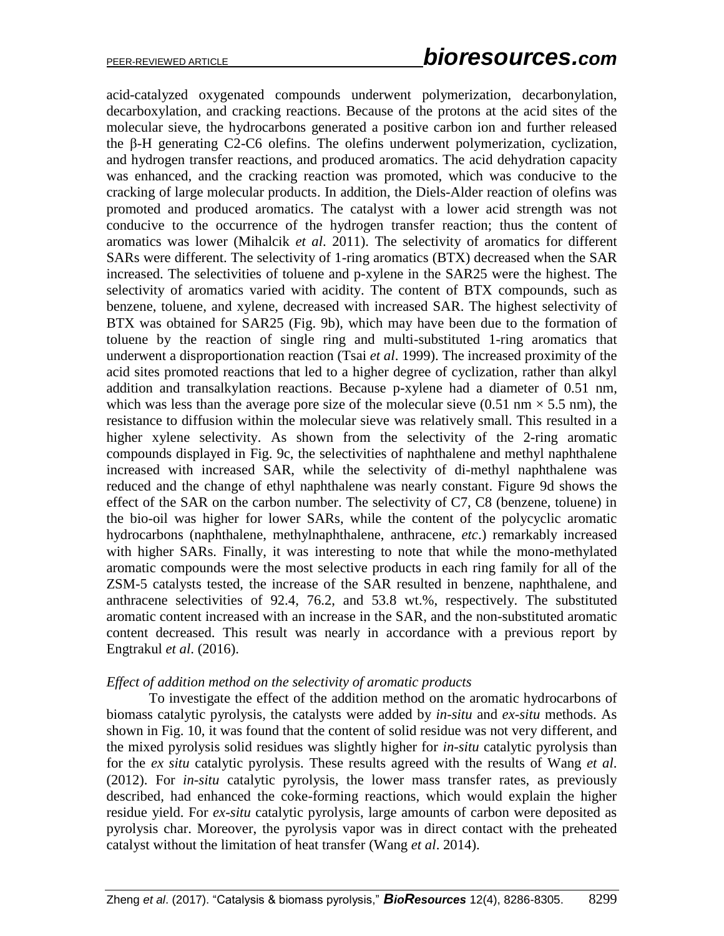acid-catalyzed oxygenated compounds underwent polymerization, decarbonylation, decarboxylation, and cracking reactions. Because of the protons at the acid sites of the molecular sieve, the hydrocarbons generated a positive carbon ion and further released the β-H generating C2-C6 olefins. The olefins underwent polymerization, cyclization, and hydrogen transfer reactions, and produced aromatics. The acid dehydration capacity was enhanced, and the cracking reaction was promoted, which was conducive to the cracking of large molecular products. In addition, the Diels-Alder reaction of olefins was promoted and produced aromatics. The catalyst with a lower acid strength was not conducive to the occurrence of the hydrogen transfer reaction; thus the content of aromatics was lower (Mihalcik *et al*. 2011). The selectivity of aromatics for different SARs were different. The selectivity of 1-ring aromatics (BTX) decreased when the SAR increased. The selectivities of toluene and p-xylene in the SAR25 were the highest. The selectivity of aromatics varied with acidity. The content of BTX compounds, such as benzene, toluene, and xylene, decreased with increased SAR. The highest selectivity of BTX was obtained for SAR25 (Fig. 9b), which may have been due to the formation of toluene by the reaction of single ring and multi-substituted 1-ring aromatics that underwent a disproportionation reaction (Tsai *et al*. 1999). The increased proximity of the acid sites promoted reactions that led to a higher degree of cyclization, rather than alkyl addition and transalkylation reactions. Because p-xylene had a diameter of 0.51 nm, which was less than the average pore size of the molecular sieve (0.51 nm  $\times$  5.5 nm), the resistance to diffusion within the molecular sieve was relatively small. This resulted in a higher xylene selectivity. As shown from the selectivity of the 2-ring aromatic compounds displayed in Fig. 9c, the selectivities of naphthalene and methyl naphthalene increased with increased SAR, while the selectivity of di-methyl naphthalene was reduced and the change of ethyl naphthalene was nearly constant. Figure 9d shows the effect of the SAR on the carbon number. The selectivity of C7, C8 (benzene, toluene) in the bio-oil was higher for lower SARs, while the content of the polycyclic aromatic hydrocarbons (naphthalene, methylnaphthalene, anthracene, *etc*.) remarkably increased with higher SARs. Finally, it was interesting to note that while the mono-methylated aromatic compounds were the most selective products in each ring family for all of the ZSM-5 catalysts tested, the increase of the SAR resulted in benzene, naphthalene, and anthracene selectivities of 92.4, 76.2, and 53.8 wt.%, respectively. The substituted aromatic content increased with an increase in the SAR, and the non-substituted aromatic content decreased. This result was nearly in accordance with a previous report by Engtrakul *et al*. (2016).

### *Effect of addition method on the selectivity of aromatic products*

To investigate the effect of the addition method on the aromatic hydrocarbons of biomass catalytic pyrolysis, the catalysts were added by *in-situ* and *ex-situ* methods. As shown in Fig. 10, it was found that the content of solid residue was not very different, and the mixed pyrolysis solid residues was slightly higher for *in-situ* catalytic pyrolysis than for the *ex situ* catalytic pyrolysis. These results agreed with the results of Wang *et al*. (2012). For *in-situ* catalytic pyrolysis, the lower mass transfer rates, as previously described, had enhanced the coke-forming reactions, which would explain the higher residue yield. For *ex-situ* catalytic pyrolysis, large amounts of carbon were deposited as pyrolysis char. Moreover, the pyrolysis vapor was in direct contact with the preheated catalyst without the limitation of heat transfer (Wang *et al*. 2014).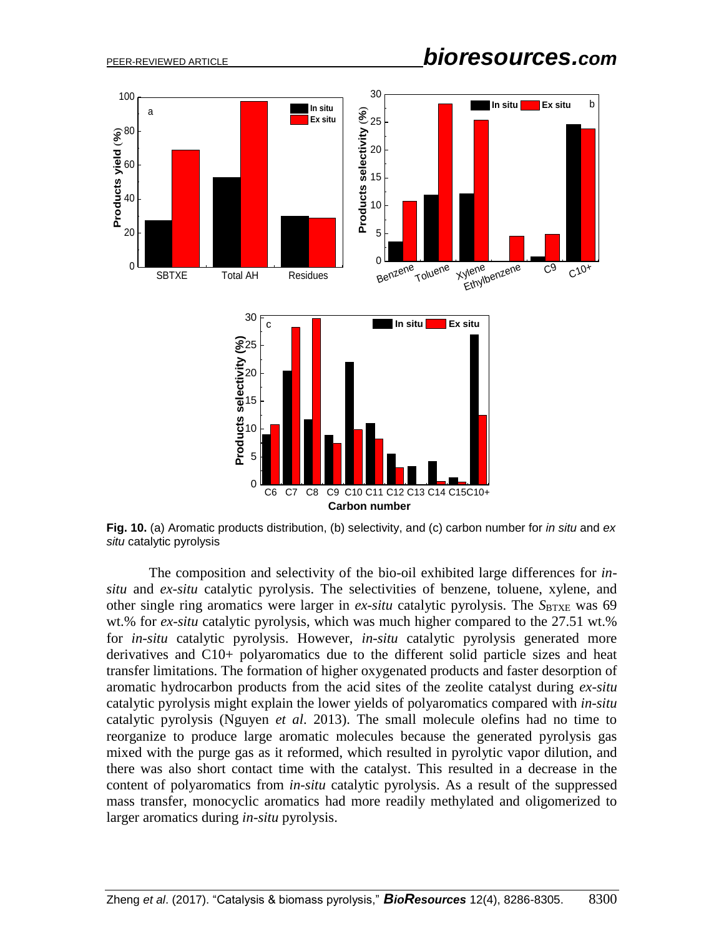PEER-REVIEWED ARTICLE *bioresources.com*



**Fig. 10.** (a) Aromatic products distribution, (b) selectivity, and (c) carbon number for *in situ* and *ex situ* catalytic pyrolysis

The composition and selectivity of the bio-oil exhibited large differences for *insitu* and *ex-situ* catalytic pyrolysis. The selectivities of benzene, toluene, xylene, and other single ring aromatics were larger in *ex-situ* catalytic pyrolysis. The *S*BTXE was 69 wt.% for *ex-situ* catalytic pyrolysis, which was much higher compared to the 27.51 wt.% for *in-situ* catalytic pyrolysis. However, *in-situ* catalytic pyrolysis generated more derivatives and C10+ polyaromatics due to the different solid particle sizes and heat transfer limitations. The formation of higher oxygenated products and faster desorption of aromatic hydrocarbon products from the acid sites of the zeolite catalyst during *ex-situ* catalytic pyrolysis might explain the lower yields of polyaromatics compared with *in-situ* catalytic pyrolysis (Nguyen *et al*. 2013). The small molecule olefins had no time to reorganize to produce large aromatic molecules because the generated pyrolysis gas mixed with the purge gas as it reformed, which resulted in pyrolytic vapor dilution, and there was also short contact time with the catalyst. This resulted in a decrease in the content of polyaromatics from *in-situ* catalytic pyrolysis. As a result of the suppressed mass transfer, monocyclic aromatics had more readily methylated and oligomerized to larger aromatics during *in-situ* pyrolysis.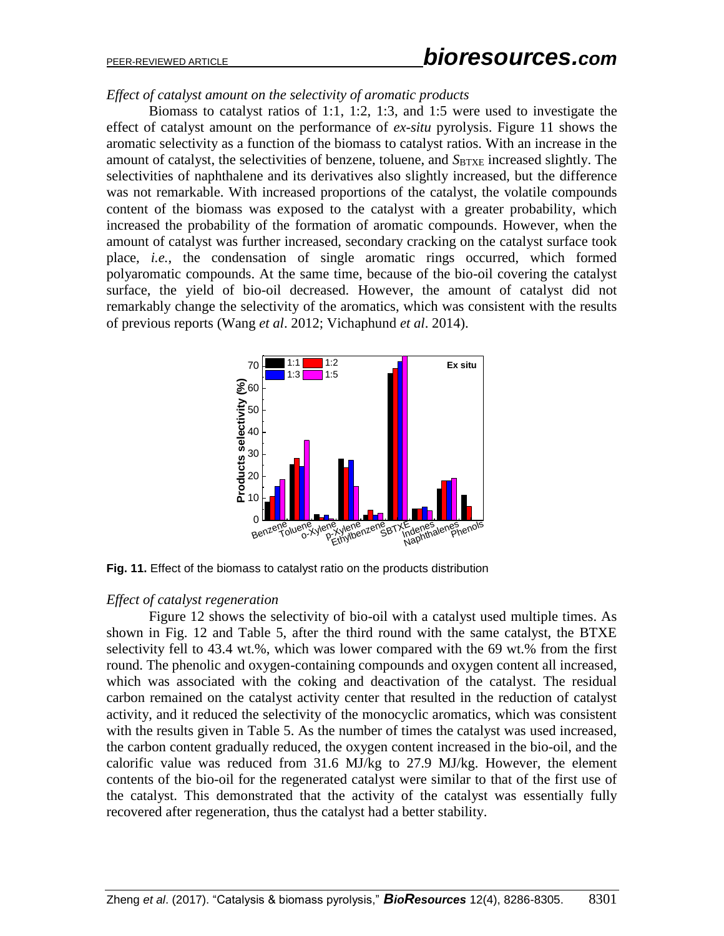# PEER-REVIEWED ARTICLE *bioresources.com*

*Effect of catalyst amount on the selectivity of aromatic products*

Biomass to catalyst ratios of 1:1, 1:2, 1:3, and 1:5 were used to investigate the effect of catalyst amount on the performance of *ex-situ* pyrolysis. Figure 11 shows the aromatic selectivity as a function of the biomass to catalyst ratios. With an increase in the amount of catalyst, the selectivities of benzene, toluene, and  $S_{BTXE}$  increased slightly. The selectivities of naphthalene and its derivatives also slightly increased, but the difference was not remarkable. With increased proportions of the catalyst, the volatile compounds content of the biomass was exposed to the catalyst with a greater probability, which increased the probability of the formation of aromatic compounds. However, when the amount of catalyst was further increased, secondary cracking on the catalyst surface took place, *i.e.*, the condensation of single aromatic rings occurred, which formed polyaromatic compounds. At the same time, because of the bio-oil covering the catalyst surface, the yield of bio-oil decreased. However, the amount of catalyst did not remarkably change the selectivity of the aromatics, which was consistent with the results of previous reports (Wang *et al*. 2012; Vichaphund *et al*. 2014).



**Fig. 11.** Effect of the biomass to catalyst ratio on the products distribution

### *Effect of catalyst regeneration*

Figure 12 shows the selectivity of bio-oil with a catalyst used multiple times. As shown in Fig. 12 and Table 5, after the third round with the same catalyst, the BTXE selectivity fell to 43.4 wt.%, which was lower compared with the 69 wt.% from the first round. The phenolic and oxygen-containing compounds and oxygen content all increased, which was associated with the coking and deactivation of the catalyst. The residual carbon remained on the catalyst activity center that resulted in the reduction of catalyst activity, and it reduced the selectivity of the monocyclic aromatics, which was consistent with the results given in Table 5. As the number of times the catalyst was used increased, the carbon content gradually reduced, the oxygen content increased in the bio-oil, and the calorific value was reduced from 31.6 MJ/kg to 27.9 MJ/kg. However, the element contents of the bio-oil for the regenerated catalyst were similar to that of the first use of the catalyst. This demonstrated that the activity of the catalyst was essentially fully recovered after regeneration, thus the catalyst had a better stability.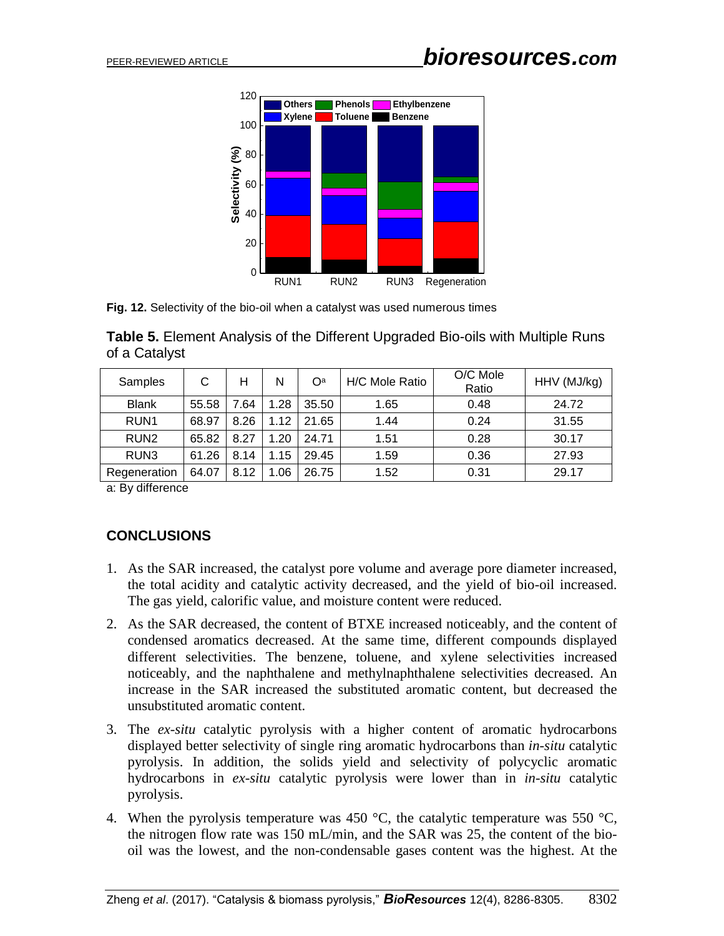

**Fig. 12.** Selectivity of the bio-oil when a catalyst was used numerous times

| <b>Table 5.</b> Element Analysis of the Different Upgraded Bio-oils with Multiple Runs |  |
|----------------------------------------------------------------------------------------|--|
| of a Catalyst                                                                          |  |

| Samples          | С     | н    | N    | O <sup>a</sup> | H/C Mole Ratio | O/C Mole<br>Ratio | HHV (MJ/kg) |
|------------------|-------|------|------|----------------|----------------|-------------------|-------------|
| <b>Blank</b>     | 55.58 | 7.64 | 1.28 | 35.50          | 1.65           | 0.48              | 24.72       |
| RUN <sub>1</sub> | 68.97 | 8.26 | 1.12 | 21.65          | 1.44           | 0.24              | 31.55       |
| RUN <sub>2</sub> | 65.82 | 8.27 | 1.20 | 24.71          | 1.51           | 0.28              | 30.17       |
| RUN <sub>3</sub> | 61.26 | 8.14 | 1.15 | 29.45          | 1.59           | 0.36              | 27.93       |
| Regeneration     | 64.07 | 8.12 | 1.06 | 26.75          | 1.52           | 0.31              | 29.17       |

a: By difference

# **CONCLUSIONS**

- 1. As the SAR increased, the catalyst pore volume and average pore diameter increased, the total acidity and catalytic activity decreased, and the yield of bio-oil increased. The gas yield, calorific value, and moisture content were reduced.
- 2. As the SAR decreased, the content of BTXE increased noticeably, and the content of condensed aromatics decreased. At the same time, different compounds displayed different selectivities. The benzene, toluene, and xylene selectivities increased noticeably, and the naphthalene and methylnaphthalene selectivities decreased. An increase in the SAR increased the substituted aromatic content, but decreased the unsubstituted aromatic content.
- 3. The *ex-situ* catalytic pyrolysis with a higher content of aromatic hydrocarbons displayed better selectivity of single ring aromatic hydrocarbons than *in-situ* catalytic pyrolysis. In addition, the solids yield and selectivity of polycyclic aromatic hydrocarbons in *ex-situ* catalytic pyrolysis were lower than in *in-situ* catalytic pyrolysis.
- 4. When the pyrolysis temperature was 450  $^{\circ}$ C, the catalytic temperature was 550  $^{\circ}$ C, the nitrogen flow rate was 150 mL/min, and the SAR was 25, the content of the biooil was the lowest, and the non-condensable gases content was the highest. At the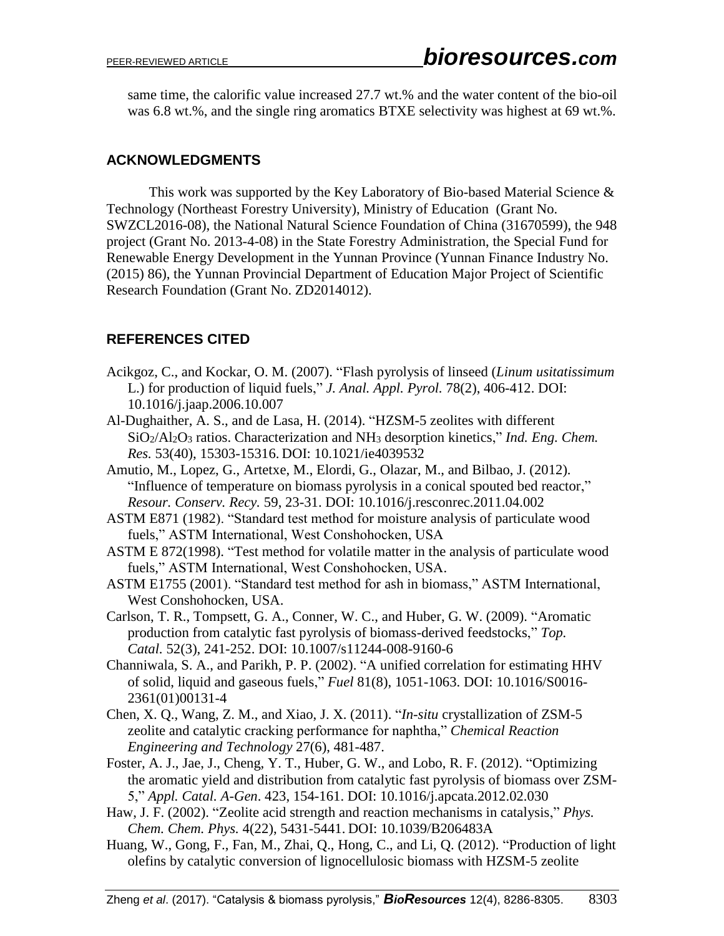same time, the calorific value increased 27.7 wt.% and the water content of the bio-oil was 6.8 wt.%, and the single ring aromatics BTXE selectivity was highest at 69 wt.%.

# **ACKNOWLEDGMENTS**

This work was supported by the Key Laboratory of Bio-based Material Science & Technology (Northeast Forestry University), Ministry of Education (Grant No. SWZCL2016-08), the National Natural Science Foundation of China (31670599), the 948 project (Grant No. 2013-4-08) in the State Forestry Administration, the Special Fund for Renewable Energy Development in the Yunnan Province (Yunnan Finance Industry No. (2015) 86), the Yunnan Provincial Department of Education Major Project of Scientific Research Foundation (Grant No. ZD2014012).

# **REFERENCES CITED**

- Acikgoz, C., and Kockar, O. M. (2007). "Flash pyrolysis of linseed (*Linum usitatissimum* L.) for production of liquid fuels," *J. Anal. Appl. Pyrol.* 78(2), 406-412. DOI: 10.1016/j.jaap.2006.10.007
- Al-Dughaither, A. S., and de Lasa, H. (2014). "HZSM-5 zeolites with different SiO2/Al2O<sup>3</sup> ratios. Characterization and NH<sup>3</sup> desorption kinetics," *Ind. Eng. Chem. Res.* 53(40), 15303-15316. DOI: 10.1021/ie4039532
- Amutio, M., Lopez, G., Artetxe, M., Elordi, G., Olazar, M., and Bilbao, J. (2012). "Influence of temperature on biomass pyrolysis in a conical spouted bed reactor," *Resour. Conserv. Recy.* 59, 23-31. DOI: 10.1016/j.resconrec.2011.04.002
- ASTM E871 (1982). "Standard test method for moisture analysis of particulate wood fuels," ASTM International, West Conshohocken, USA
- ASTM E 872(1998). "Test method for volatile matter in the analysis of particulate wood fuels," ASTM International, West Conshohocken, USA.
- ASTM E1755 (2001). "Standard test method for ash in biomass," ASTM International, West Conshohocken, USA.
- Carlson, T. R., Tompsett, G. A., Conner, W. C., and Huber, G. W. (2009). "Aromatic production from catalytic fast pyrolysis of biomass-derived feedstocks," *Top. Catal.* 52(3), 241-252. DOI: 10.1007/s11244-008-9160-6
- Channiwala, S. A., and Parikh, P. P. (2002). "A unified correlation for estimating HHV of solid, liquid and gaseous fuels," *Fuel* 81(8), 1051-1063. DOI: 10.1016/S0016- 2361(01)00131-4
- Chen, X. Q., Wang, Z. M., and Xiao, J. X. (2011). "*In-situ* crystallization of ZSM-5 zeolite and catalytic cracking performance for naphtha," *Chemical Reaction Engineering and Technology* 27(6), 481-487.
- Foster, A. J., Jae, J., Cheng, Y. T., Huber, G. W., and Lobo, R. F. (2012). "Optimizing the aromatic yield and distribution from catalytic fast pyrolysis of biomass over ZSM-5," *Appl. Catal. A-Gen*. 423, 154-161. DOI: 10.1016/j.apcata.2012.02.030
- Haw, J. F. (2002). "Zeolite acid strength and reaction mechanisms in catalysis," *Phys. Chem. Chem. Phys.* 4(22), 5431-5441. DOI: 10.1039/B206483A
- Huang, W., Gong, F., Fan, M., Zhai, Q., Hong, C., and Li, Q. (2012). "Production of light olefins by catalytic conversion of lignocellulosic biomass with HZSM-5 zeolite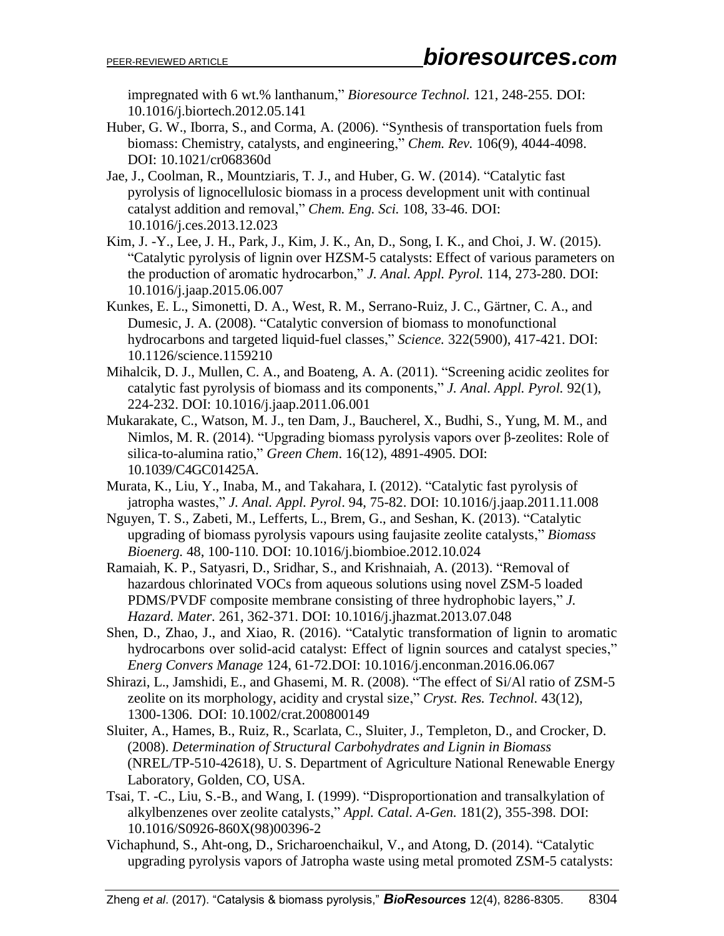impregnated with 6 wt.% lanthanum," *Bioresource Technol.* 121, 248-255. DOI: 10.1016/j.biortech.2012.05.141

- Huber, G. W., Iborra, S., and Corma, A. (2006). "Synthesis of transportation fuels from biomass: Chemistry, catalysts, and engineering," *Chem. Rev.* 106(9), 4044-4098. DOI: 10.1021/cr068360d
- Jae, J., Coolman, R., Mountziaris, T. J., and Huber, G. W. (2014). "Catalytic fast pyrolysis of lignocellulosic biomass in a process development unit with continual catalyst addition and removal," *Chem. Eng. Sci.* 108, 33-46. DOI: 10.1016/j.ces.2013.12.023
- Kim, J. -Y., Lee, J. H., Park, J., Kim, J. K., An, D., Song, I. K., and Choi, J. W. (2015). "Catalytic pyrolysis of lignin over HZSM-5 catalysts: Effect of various parameters on the production of aromatic hydrocarbon," *J. Anal. Appl. Pyrol.* 114, 273-280. DOI: 10.1016/j.jaap.2015.06.007
- Kunkes, E. L., Simonetti, D. A., West, R. M., Serrano-Ruiz, J. C., Gärtner, C. A., and Dumesic, J. A. (2008). "Catalytic conversion of biomass to monofunctional hydrocarbons and targeted liquid-fuel classes," *Science.* 322(5900), 417-421. DOI: 10.1126/science.1159210
- Mihalcik, D. J., Mullen, C. A., and Boateng, A. A. (2011). "Screening acidic zeolites for catalytic fast pyrolysis of biomass and its components," *J. Anal. Appl. Pyrol.* 92(1), 224-232. DOI: [10.1016/j.jaap.2011.06.001](https://doi.org/10.1016/j.jaap.2011.06.001)
- Mukarakate, C., Watson, M. J., ten Dam, J., Baucherel, X., Budhi, S., Yung, M. M., and Nimlos, M. R. (2014). "Upgrading biomass pyrolysis vapors over β-zeolites: Role of silica-to-alumina ratio," *Green Chem*. 16(12), 4891-4905. DOI: 10.1039/C4GC01425A.
- Murata, K., Liu, Y., Inaba, M., and Takahara, I. (2012). "Catalytic fast pyrolysis of jatropha wastes," *J. Anal. Appl. Pyrol*. 94, 75-82. DOI: 10.1016/j.jaap.2011.11.008
- Nguyen, T. S., Zabeti, M., Lefferts, L., Brem, G., and Seshan, K. (2013). "Catalytic upgrading of biomass pyrolysis vapours using faujasite zeolite catalysts," *Biomass Bioenerg.* 48, 100-110. DOI: 10.1016/j.biombioe.2012.10.024
- Ramaiah, K. P., Satyasri, D., Sridhar, S., and Krishnaiah, A. (2013). "Removal of hazardous chlorinated VOCs from aqueous solutions using novel ZSM-5 loaded PDMS/PVDF composite membrane consisting of three hydrophobic layers," *J. Hazard. Mater.* 261, 362-371. DOI: 10.1016/j.jhazmat.2013.07.048
- Shen, D., Zhao, J., and Xiao, R. (2016). "Catalytic transformation of lignin to aromatic hydrocarbons over solid-acid catalyst: Effect of lignin sources and catalyst species," *Energ Convers Manage* 124, 61-72.DOI: [10.1016/j.enconman.2016.06.067](https://doi.org/10.1016/j.enconman.2016.06.067)
- Shirazi, L., Jamshidi, E., and Ghasemi, M. R. (2008). "The effect of Si/Al ratio of ZSM-5 zeolite on its morphology, acidity and crystal size," *Cryst. Res. Technol.* 43(12), 1300-1306. DOI: 10.1002/crat.200800149
- Sluiter, A., Hames, B., Ruiz, R., Scarlata, C., Sluiter, J., Templeton, D., and Crocker, D. (2008). *Determination of Structural Carbohydrates and Lignin in Biomass* (NREL/TP-510-42618), U. S. Department of Agriculture National Renewable Energy Laboratory, Golden, CO, USA.
- Tsai, T. -C., Liu, S.-B., and Wang, I. (1999). "Disproportionation and transalkylation of alkylbenzenes over zeolite catalysts," *Appl. Catal. A-Gen.* 181(2), 355-398. DOI: 10.1016/S0926-860X(98)00396-2
- Vichaphund, S., Aht-ong, D., Sricharoenchaikul, V., and Atong, D. (2014). "Catalytic upgrading pyrolysis vapors of Jatropha waste using metal promoted ZSM-5 catalysts: